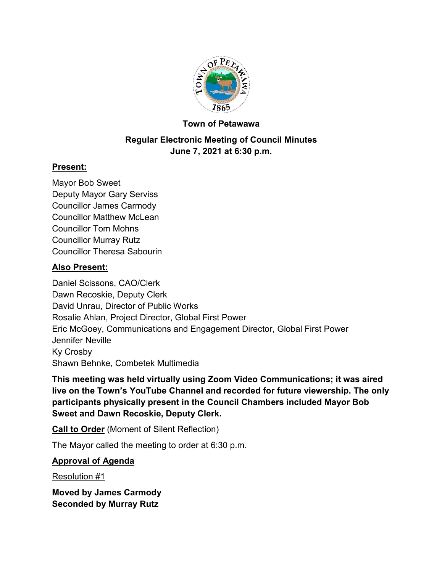

### **Town of Petawawa**

### **Regular Electronic Meeting of Council Minutes June 7, 2021 at 6:30 p.m.**

### **Present:**

Mayor Bob Sweet Deputy Mayor Gary Serviss Councillor James Carmody Councillor Matthew McLean Councillor Tom Mohns Councillor Murray Rutz Councillor Theresa Sabourin

### **Also Present:**

Daniel Scissons, CAO/Clerk Dawn Recoskie, Deputy Clerk David Unrau, Director of Public Works Rosalie Ahlan, Project Director, Global First Power Eric McGoey, Communications and Engagement Director, Global First Power Jennifer Neville Ky Crosby Shawn Behnke, Combetek Multimedia

**This meeting was held virtually using Zoom Video Communications; it was aired live on the Town's YouTube Channel and recorded for future viewership. The only participants physically present in the Council Chambers included Mayor Bob Sweet and Dawn Recoskie, Deputy Clerk.**

**Call to Order** (Moment of Silent Reflection)

The Mayor called the meeting to order at 6:30 p.m.

## **Approval of Agenda**

Resolution #1

**Moved by James Carmody Seconded by Murray Rutz**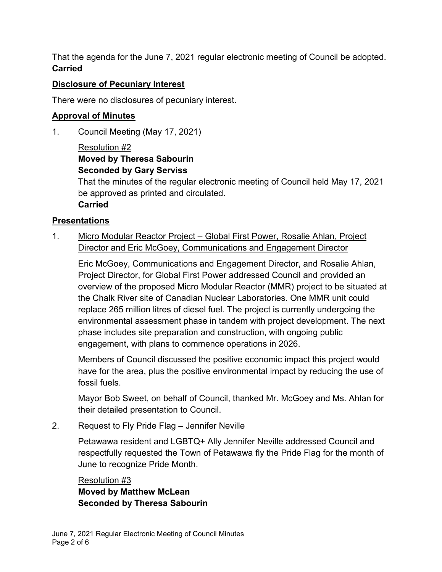That the agenda for the June 7, 2021 regular electronic meeting of Council be adopted. **Carried**

### **Disclosure of Pecuniary Interest**

There were no disclosures of pecuniary interest.

## **Approval of Minutes**

1. Council Meeting (May 17, 2021)

## Resolution #2 **Moved by Theresa Sabourin Seconded by Gary Serviss**

That the minutes of the regular electronic meeting of Council held May 17, 2021 be approved as printed and circulated.

## **Carried**

## **Presentations**

1. Micro Modular Reactor Project – Global First Power, Rosalie Ahlan, Project Director and Eric McGoey, Communications and Engagement Director

Eric McGoey, Communications and Engagement Director, and Rosalie Ahlan, Project Director, for Global First Power addressed Council and provided an overview of the proposed Micro Modular Reactor (MMR) project to be situated at the Chalk River site of Canadian Nuclear Laboratories. One MMR unit could replace 265 million litres of diesel fuel. The project is currently undergoing the environmental assessment phase in tandem with project development. The next phase includes site preparation and construction, with ongoing public engagement, with plans to commence operations in 2026.

Members of Council discussed the positive economic impact this project would have for the area, plus the positive environmental impact by reducing the use of fossil fuels.

Mayor Bob Sweet, on behalf of Council, thanked Mr. McGoey and Ms. Ahlan for their detailed presentation to Council.

2. Request to Fly Pride Flag – Jennifer Neville

Petawawa resident and LGBTQ+ Ally Jennifer Neville addressed Council and respectfully requested the Town of Petawawa fly the Pride Flag for the month of June to recognize Pride Month.

Resolution #3 **Moved by Matthew McLean Seconded by Theresa Sabourin**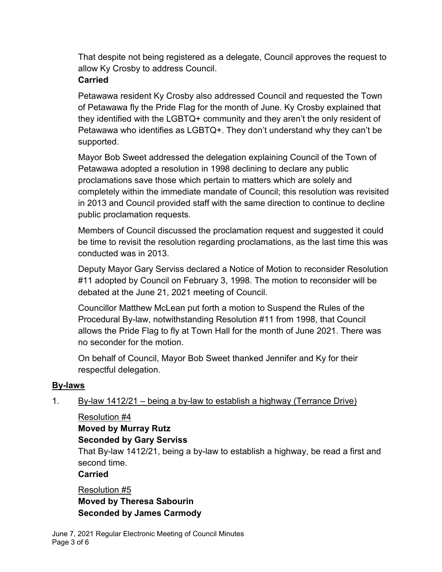That despite not being registered as a delegate, Council approves the request to allow Ky Crosby to address Council.

### **Carried**

Petawawa resident Ky Crosby also addressed Council and requested the Town of Petawawa fly the Pride Flag for the month of June. Ky Crosby explained that they identified with the LGBTQ+ community and they aren't the only resident of Petawawa who identifies as LGBTQ+. They don't understand why they can't be supported.

Mayor Bob Sweet addressed the delegation explaining Council of the Town of Petawawa adopted a resolution in 1998 declining to declare any public proclamations save those which pertain to matters which are solely and completely within the immediate mandate of Council; this resolution was revisited in 2013 and Council provided staff with the same direction to continue to decline public proclamation requests.

Members of Council discussed the proclamation request and suggested it could be time to revisit the resolution regarding proclamations, as the last time this was conducted was in 2013.

Deputy Mayor Gary Serviss declared a Notice of Motion to reconsider Resolution #11 adopted by Council on February 3, 1998. The motion to reconsider will be debated at the June 21, 2021 meeting of Council.

Councillor Matthew McLean put forth a motion to Suspend the Rules of the Procedural By-law, notwithstanding Resolution #11 from 1998, that Council allows the Pride Flag to fly at Town Hall for the month of June 2021. There was no seconder for the motion.

On behalf of Council, Mayor Bob Sweet thanked Jennifer and Ky for their respectful delegation.

## **By-laws**

- 1. By-law 1412/21 being a by-law to establish a highway (Terrance Drive)
	- Resolution #4

# **Moved by Murray Rutz**

**Seconded by Gary Serviss**

That By-law 1412/21, being a by-law to establish a highway, be read a first and second time.

**Carried**

Resolution #5 **Moved by Theresa Sabourin Seconded by James Carmody**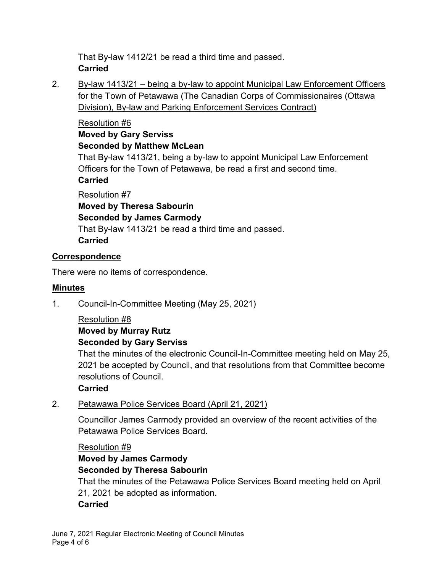That By-law 1412/21 be read a third time and passed. **Carried**

2. By-law 1413/21 – being a by-law to appoint Municipal Law Enforcement Officers for the Town of Petawawa (The Canadian Corps of Commissionaires (Ottawa Division), By-law and Parking Enforcement Services Contract)

## Resolution #6

### **Moved by Gary Serviss Seconded by Matthew McLean**

That By-law 1413/21, being a by-law to appoint Municipal Law Enforcement Officers for the Town of Petawawa, be read a first and second time. **Carried**

## Resolution #7

**Moved by Theresa Sabourin Seconded by James Carmody** That By-law 1413/21 be read a third time and passed. **Carried**

## **Correspondence**

There were no items of correspondence.

## **Minutes**

1. Council-In-Committee Meeting (May 25, 2021)

### Resolution #8

## **Moved by Murray Rutz**

## **Seconded by Gary Serviss**

That the minutes of the electronic Council-In-Committee meeting held on May 25, 2021 be accepted by Council, and that resolutions from that Committee become resolutions of Council.

## **Carried**

## 2. Petawawa Police Services Board (April 21, 2021)

Councillor James Carmody provided an overview of the recent activities of the Petawawa Police Services Board.

#### Resolution #9

## **Moved by James Carmody Seconded by Theresa Sabourin** That the minutes of the Petawawa Police Services Board meeting held on April 21, 2021 be adopted as information. **Carried**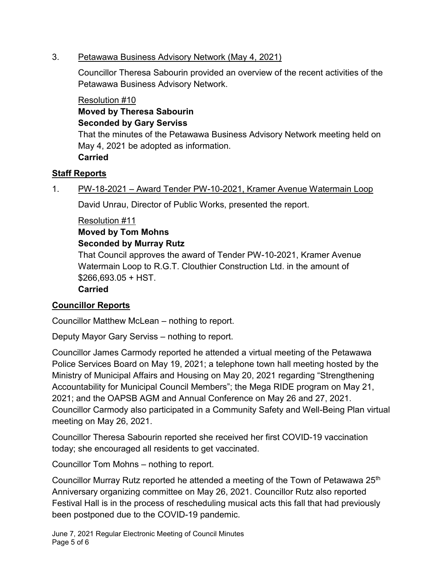### 3. Petawawa Business Advisory Network (May 4, 2021)

Councillor Theresa Sabourin provided an overview of the recent activities of the Petawawa Business Advisory Network.

### Resolution #10

**Moved by Theresa Sabourin Seconded by Gary Serviss**

That the minutes of the Petawawa Business Advisory Network meeting held on May 4, 2021 be adopted as information. **Carried**

### **Staff Reports**

1. PW-18-2021 – Award Tender PW-10-2021, Kramer Avenue Watermain Loop

David Unrau, Director of Public Works, presented the report.

### Resolution #11

### **Moved by Tom Mohns**

### **Seconded by Murray Rutz**

That Council approves the award of Tender PW-10-2021, Kramer Avenue Watermain Loop to R.G.T. Clouthier Construction Ltd. in the amount of \$266,693.05 + HST.

### **Carried**

## **Councillor Reports**

Councillor Matthew McLean – nothing to report.

Deputy Mayor Gary Serviss – nothing to report.

Councillor James Carmody reported he attended a virtual meeting of the Petawawa Police Services Board on May 19, 2021; a telephone town hall meeting hosted by the Ministry of Municipal Affairs and Housing on May 20, 2021 regarding "Strengthening Accountability for Municipal Council Members"; the Mega RIDE program on May 21, 2021; and the OAPSB AGM and Annual Conference on May 26 and 27, 2021. Councillor Carmody also participated in a Community Safety and Well-Being Plan virtual meeting on May 26, 2021.

Councillor Theresa Sabourin reported she received her first COVID-19 vaccination today; she encouraged all residents to get vaccinated.

Councillor Tom Mohns – nothing to report.

Councillor Murray Rutz reported he attended a meeting of the Town of Petawawa 25<sup>th</sup> Anniversary organizing committee on May 26, 2021. Councillor Rutz also reported Festival Hall is in the process of rescheduling musical acts this fall that had previously been postponed due to the COVID-19 pandemic.